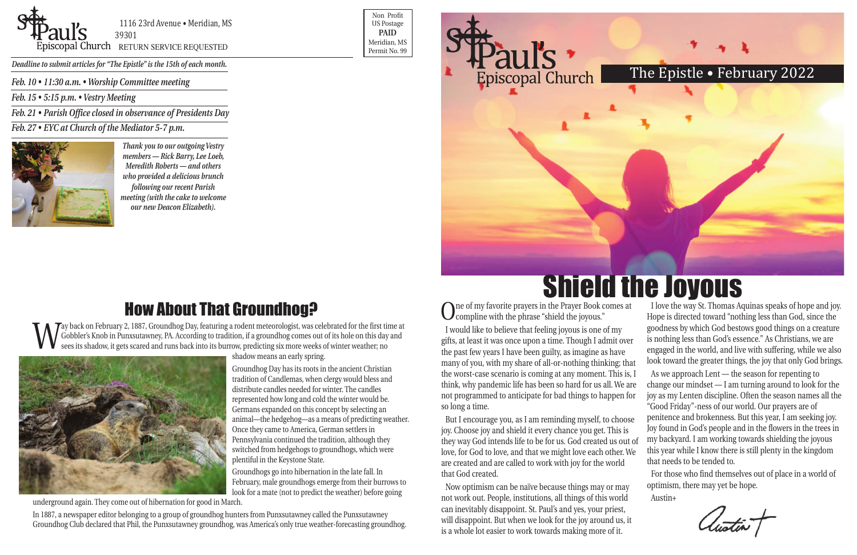*Feb. 10 • 11:30 a.m. • Worship Committee meeting*

*Feb. 15 • 5:15 p.m. • Vestry Meeting*

*Feb. 21 • Parish Office closed in observance of Presidents Day*

*Feb. 27 • EYC at Church of the Mediator 5-7 p.m.*





1116 23rd Avenue • Meridian, MS 39301

POSCOPAL Church RETURN SERVICE REQUESTED Research of Meridian, MS

Non Profit US Postage **PAID** Meridian, MS



*Deadline to submit articles for "The Epistle" is the 15th of each month.* 

### The Epistle • February 2022

I love the way St. Thomas Aquinas speaks of hope and joy. Hope is directed toward "nothing less than God, since the goodness by which God bestows good things on a creature is nothing less than God's essence." As Christians, we are engaged in the world, and live with suffering, while we also look toward the greater things, the joy that only God brings. Shield the Joyous

One of my favorite prayers in the Prayer Book comes at compline with the phrase "shield the joyous." I would like to believe that feeling joyous is one of my gifts, at least it was once upon a time. Though I admit over the past few years I have been guilty, as imagine as have many of you, with my share of all-or-nothing thinking; that the worst-case scenario is coming at any moment. This is, I think, why pandemic life has been so hard for us all. We are not programmed to anticipate for bad things to happen for so long a time. As we approach Lent — the season for repenting to change our mindset — I am turning around to look for the joy as my Lenten discipline. Often the season names all the "Good Friday"-ness of our world. Our prayers are of

Now optimism can be naïve because things may or may not work out. People, institutions, all things of this world can inevitably disappoint. St. Paul's and yes, your priest, will disappoint. But when we look for the joy around us, it is a whole lot easier to work towards making more of it.

Way back on February 2, 1887, Groundhog Day, featuring a rodent meteorologist, was celebrated for the first time at Gobbler's Knob in Punxsutawney, PA. According to tradition, if a groundhog comes out of its hole on this d Gobbler's Knob in Punxsutawney, PA. According to tradition, if a groundhog comes out of its hole on this day and sees its shadow, it gets scared and runs back into its burrow, predicting six more weeks of winter weather; no



But I encourage you, as I am reminding myself, to choose joy. Choose joy and shield it every chance you get. This is they way God intends life to be for us. God created us out of love, for God to love, and that we might love each other. We are created and are called to work with joy for the world that God created. penitence and brokenness. But this year, I am seeking joy. Joy found in God's people and in the flowers in the trees in my backyard. I am working towards shielding the joyous this year while I know there is still plenty in the kingdom that needs to be tended to. For those who find themselves out of place in a world of

optimism, there may yet be hope.

Austin+

# How About That Groundhog?

shadow means an early spring.

Groundhog Day has its roots in the ancient Christian tradition of Candlemas, when clergy would bless and distribute candles needed for winter. The candles represented how long and cold the winter would be. Germans expanded on this concept by selecting an animal—the hedgehog—as a means of predicting weather. Once they came to America, German settlers in Pennsylvania continued the tradition, although they switched from hedgehogs to groundhogs, which were plentiful in the Keystone State.

Groundhogs go into hibernation in the late fall. In February, male groundhogs emerge from their burrows to look for a mate (not to predict the weather) before going

underground again. They come out of hibernation for good in March.

In 1887, a newspaper editor belonging to a group of groundhog hunters from Punxsutawney called the Punxsutawney Groundhog Club declared that Phil, the Punxsutawney groundhog, was America's only true weather-forecasting groundhog.

*Thank you to our outgoing Vestry members — Rick Barry, Lee Loeb, Meredith Roberts — and others who provided a delicious brunch following our recent Parish meeting (with the cake to welcome our new Deacon Elizabeth).*